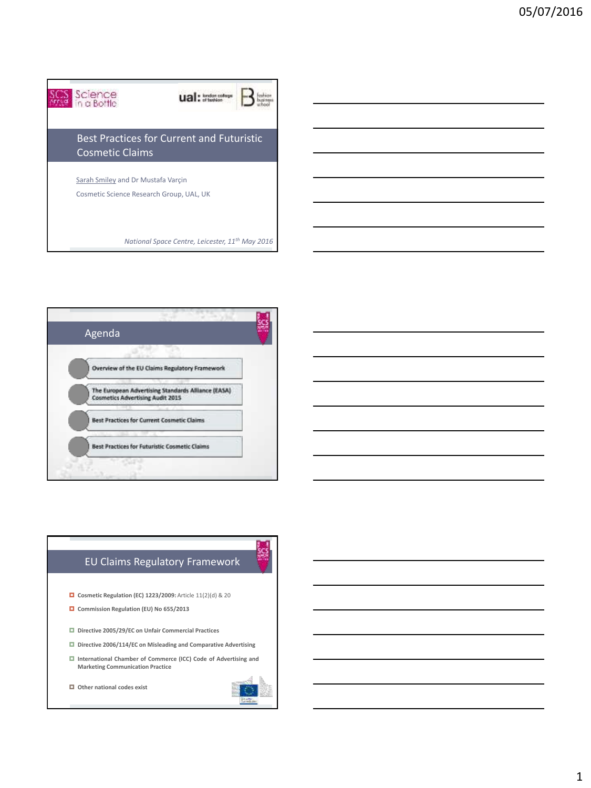



## EU Claims Regulatory Framework

- **Cosmetic Regulation (EC) 1223/2009:** Article 11(2)(d) & 20
- **Commission Regulation (EU) No 655/2013**
- **Directive 2005/29/EC on Unfair Commercial Practices**
- **Directive 2006/114/EC on Misleading and Comparative Advertising**
- **International Chamber of Commerce (ICC) Code of Advertising and Marketing Communication Practice**

**Other national codes exist**

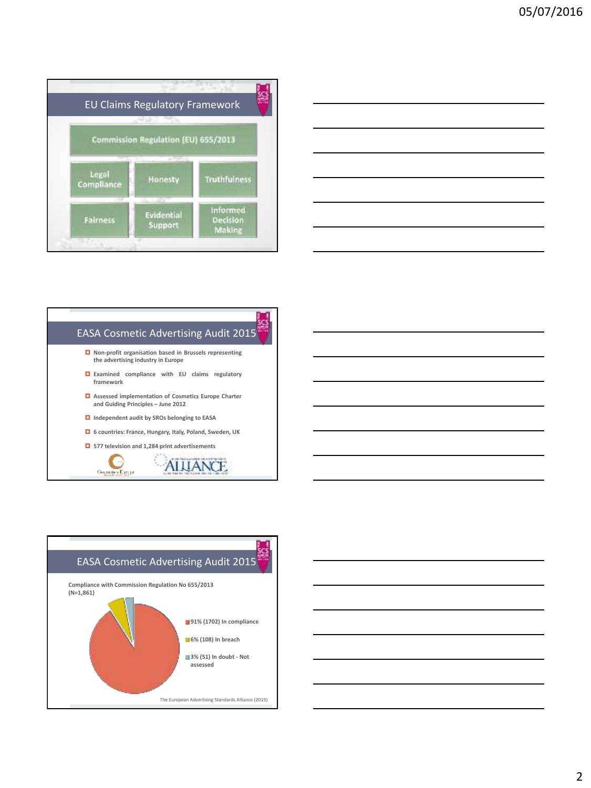

| <u> 1989 - Johann Barn, mars ann an t-Amhain ann an t-Amhain ann an t-Amhain ann an t-Amhain an t-Amhain ann an t-</u> |  |  |
|------------------------------------------------------------------------------------------------------------------------|--|--|
| <u> 1989 - Johann Barn, mars ann an t-Amhain ann an t-Amhain ann an t-Amhain ann an t-Amhain an t-Amhain ann an t-</u> |  |  |
| <u> 1989 - Andrea Barbara, Amerikaansk politiker (d. 1989)</u>                                                         |  |  |
| <u> 1989 - Johann Barn, fransk politik (f. 1989)</u>                                                                   |  |  |
| <u> 1989 - Johann Barn, mars ann an t-Amhain ann an t-Amhain ann an t-Amhain ann an t-Amhain an t-Amhain ann an t-</u> |  |  |
| <u> 1989 - Johann Barn, mars ann an t-Amhain ann an t-Amhain ann an t-Amhain ann an t-Amhain an t-Amhain ann an t-</u> |  |  |
| the contract of the contract of the contract of                                                                        |  |  |

### EASA Cosmetic Advertising Audit 2015

- **Non-profit organisation based in Brussels representing the advertising industry in Europe**
- **Examined compliance with EU claims regulatory framework**
- **Assessed implementation of Cosmetics Europe Charter and Guiding Principles – June 2012**
- **Independent audit by SROs belonging to EASA**
- **6 countries: France, Hungary, Italy, Poland, Sweden, UK**
- **577 television and 1,284 print advertisements**





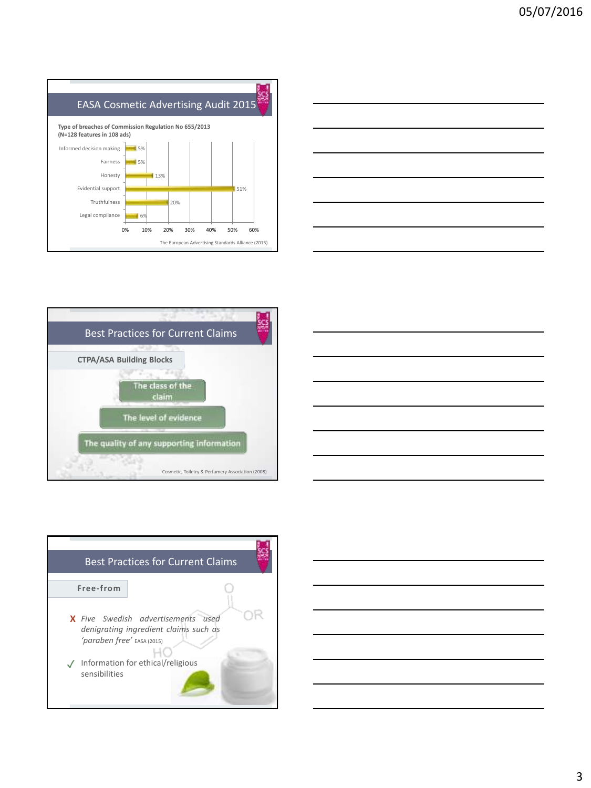









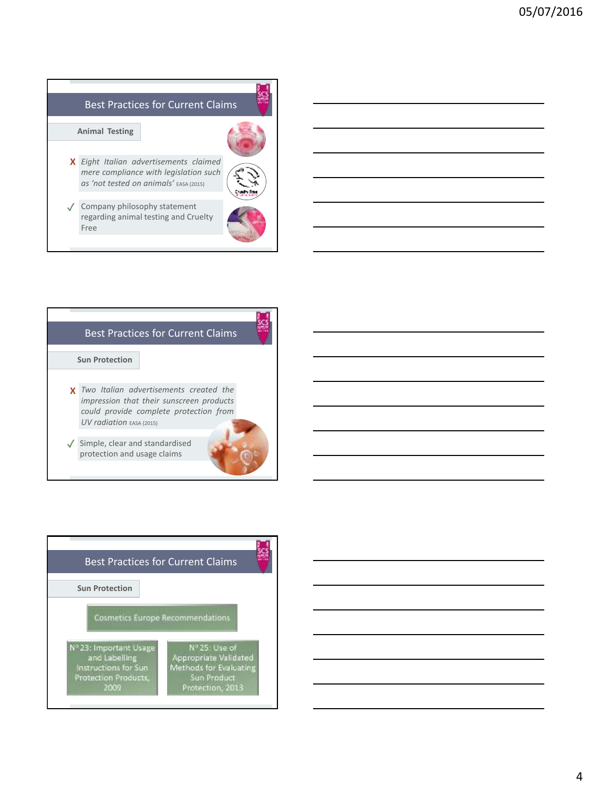# Best Practices for Current Claims

#### **Animal Testing**

*Eight Italian advertisements claimed* **X**



Company philosophy statement ✓ regarding animal testing and Cruelty Free

*as 'not tested on animals'* EASA (2015)



### Best Practices for Current Claims

**Sun Protection**

- *Two Italian advertisements created the* **X** *impression that their sunscreen products could provide complete protection from UV radiation* EASA (2015)
- Simple, clear and standardised ✓ protection and usage claims



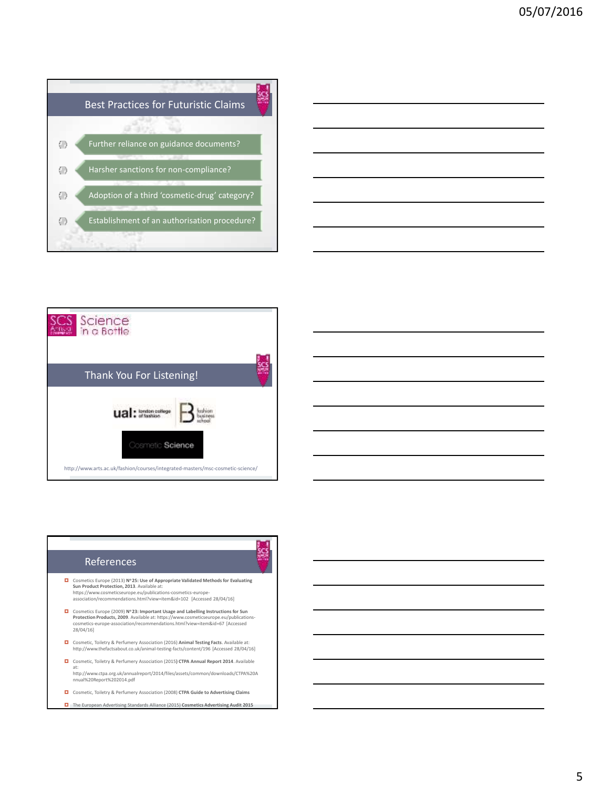